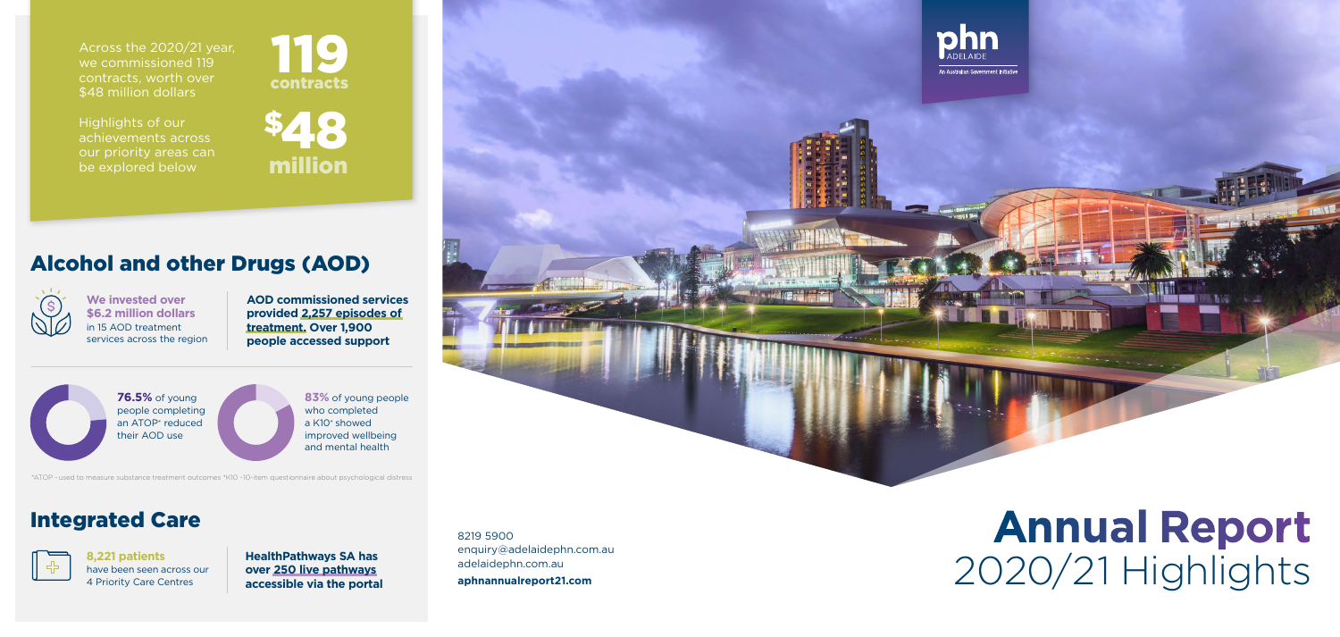8219 5900 enquiry@adelaidephn.com.au adelaidephn.com.au **aphnannualreport21.com**





Highlights of our achievements across our priority areas can be explored below



# **Annual Report** 2020/21 Highlights

## Alcohol and other Drugs (AOD)



**8,221 patients**  have been seen across our 4 Priority Care Centres

## Integrated Care



**AOD commissioned services provided 2,257 episodes of treatment. Over 1,900 people accessed support**

**We invested over \$6.2 million dollars**  in 15 AOD treatment services across the region

> **HealthPathways SA has over 250 live pathways accessible via the portal**

**76.5%** of young people completing an ATOP\* reduced their AOD use

**83%** of young people who completed a K10\* showed improved wellbeing and mental health

\*ATOP - used to measure substance treatment outcomes \*K10 - 10-item questionnaire about psychological distress